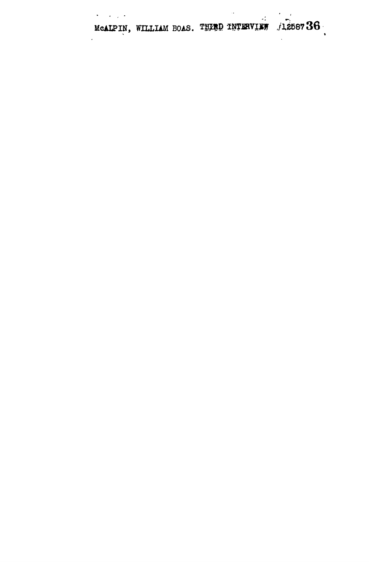MCALPIN, WILLIAM BOAS. THIRD INTERVIEW /1258736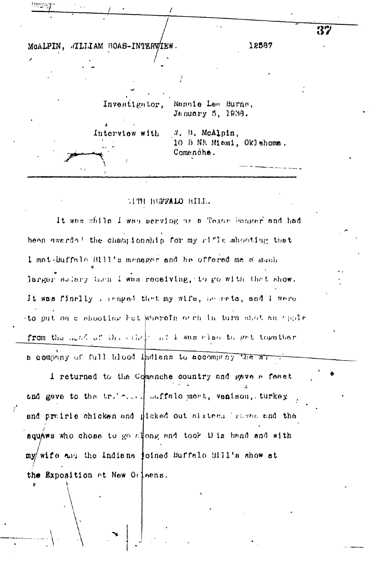

#### TIME BUFFALO BILL.

It was while I was serving as a Texas Sanger and had been swerds! the championship for my rifle shooting that I met-buffalo Bill's manager and he offered me a much larger solary than I was receiving, to go with that show. It was finally a senged that my wife, according and I were to put on a shooting bat wherein or ch in turn shot an oppie from the method of the ethnic at 1 was also to get together a company of full blood thatens to accompany the al

I returned to the Commiche country and pave a feast and gave to the trie... justalo mert, venison, turkey and preirie chicken and gicked out sixtee. There and the squars who chose to go along and took this band and with my/wife and the Indians joined Buffalo Bill's show at the Exposition at New Orleans.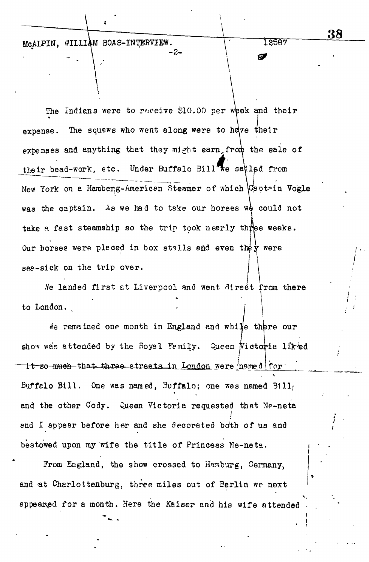McAIPIN, WILLIAM BOAS-INTERVIEW.

The Indians were to receive \$10.00 per whek and their \* \ expense. The squaws who went along were to have their expenses and anything that they might earn, from the sale of their bead-work, etc. Under Buffalo Bill we say is from **reduced from the same of which** voice . Then **reduced the voice** of which voice . Then **reduced the voice** of which voice . Then **reduced the voice** of which voice . was the captain. As we had to take our horses we could not take a fast steamship so the trip took nearly three weeks. Our horses were pleced in box stalls and even they were see-sick on the trip over.

-2-

Ne landed first at Liverpool and went direct from there to London.

*i*e remained one month in England and while there our show was attended by the Royal Femily. Queen Victoria liked <u>tt so much that three streets in London were named for  $\cdot$ </u> Buffalo Bill. One was named, Buffalo; one was named Bill, **\*** and the other Cody. Queen Victoria requested that Ne-neta and I appear before her and she decorated bo $\mathcal{N}$  and she decorated both of us and she decorated both of us bestowed upon my wife the title of Princess Ne-neta. bestowed upon my wife the titl e of Princess Ne-neta.

 $\mathcal{F}$  from  $\mathcal{F}$  the show crossed to  $\mathcal{F}$ and at  $C$  at  $C$  burg, three miles out of  $B$ erlin we next of  $B$ erlin we next of  $B$ appeared for a month. Here the Kaiser and his wife attended **38**

12587

Ø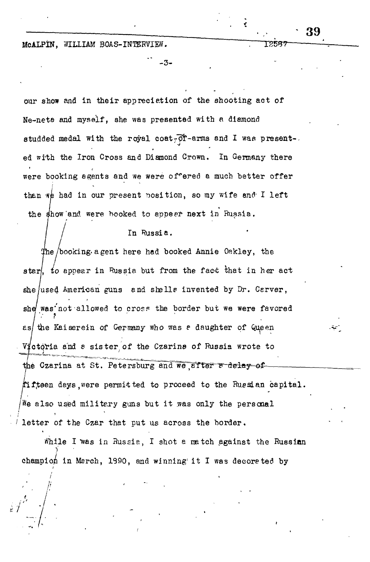McALPIN, WILLIAM BOAS-INTERVIEW.

our show and in their appreciation of the shooting act of Ne-neta and myself, she was presented with a diamond studded medal with the royal coat  $\bar{C}$ T-arms and I was present-. ed with the Iron Cross and Diamond Crown. In Germany there were booking agents and we were offered a much better offer then we had in our present position, so my wife and I left the show'and were booked to appeer next in Russia.

-3-

39

1258'

In Russia.

/booking-a gent here had booked Annie Oekley, the star/, *io* appear in Russia but from the fact lhat in her act she used American guns and shells invented by Dr. Cerver, she was not allowed to cross the border but we were favored es/ the Kaiserein of Germany who was *e* daughter of Queen Victoria and *8* sister, of the Czarine of Russia wrote to the Czarina at St. Petersburg and we after a delay of  $ft$ teen days,were permitted to proceed to the Russian capital.  $\mathbb{W}$ e also used military guns but it was only the personal letter of the Czar that put us across the border.

While I was in Russia, I shot a match against the Russian **y** champion in March, 1990, and winning' i t I was decorated by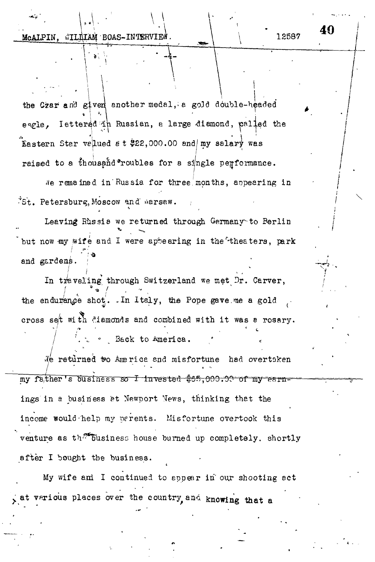the Czar and given another medal, a gold double-headed **•I M ' • i** eagle, lettered in Russian, a large diamond, palled the  $\frac{1}{2}$ <sup>1</sup><br>alued  $\frac{1}{2}$  +  $\frac{1}{2}$  22 000 00 and my salamy was  $\frac{1}{2}$ Eastern Star vehicle e t  $\frac{1}{2}$  and  $\frac{1}{2}$  and  $\frac{1}{2}$  and  $\frac{1}{2}$  was raised to a thousand roubles for a single performance.

We remained in Russia for three months, appearing in "St. Petersburg, Moscow and warsaw.

Leaving Rhssia we returned t  $\mathcal{E}$  $\frac{1}{2}$  were but now  $m$ y wife and i were appearing in the theaters, park / \*.' and gardens. ; "<br>
<sup>2</sup>

In traveling through Switzerland we met Dr. Carver, the endurance shot. In Italy, the Pope gave me a gold cross set with diamonds and combined with it was a rosary.

Back to America.

We returned to America and misfortune had overtaken my father's business so I invested \$65,000.00 of my earnings in a business at Newport News, thinking that the income would-help my perents. Misfortune overtook this venture as the business house burned up completely, shortly after I bought the business.

My wife ani I continued to appear in" our shooting act at various places over the country, and knowing that a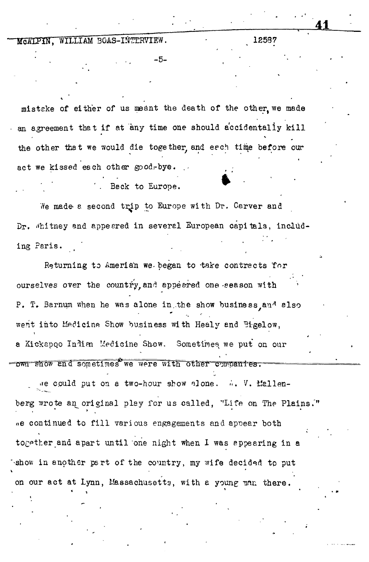#### MCATPIN, WILLIAM BOAS-INTERVIEW. 12587

misteke of either of us meant the death of the other, we made an agreement that if at any time one should accidentally kill the other that we would die together, and eech time before our act we kissed each other good-bye. . Beck to Europe.

We made a second trip to Europe with Dr. Carver and Dr. Whitney and appeared in several European capitals, including Paris.

Returning to Amerian we began to take contracts for ourselves over the country, and appeared one-season with P. T. Barnum when he was alone in, the show business and also went into Medicine Show business with Healy and Bigelow, a Kickapoo Indian Medicine Show. Sometimes we put on our own show and sometimes we were with other companies.

•»e could put on a two-hour show <3]one. *•'<.* V. tfellenberg wrote an original play for us called, "Life on The Plains." »e continued to fill various engagements and appear both together and apart until one night when I was appearing in a •show in another psrt of the country, my wife decided to put on our act at Lynn, Massachusetts, with a young man there.

**- 5 - • '• '**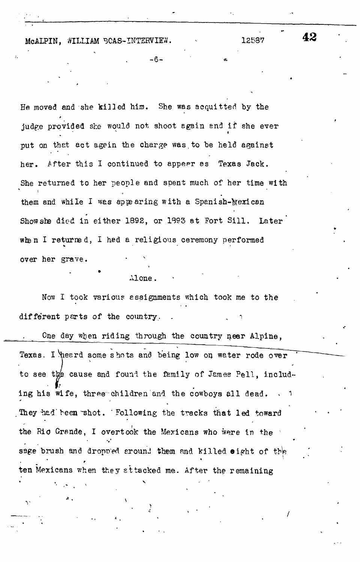McALPIN. WILLIAM 3CAS-INTERVIEW. 40.12537

He moved and she killed him. She was acquitted by the judge provided she would not shoot again and if she ever put on that act agein the charge was to be held against her. After this I continued to appear as Texas Jack. She returned to her people and spent much of her time with them and while I was appearing with a Spanish-Mexican Show she died in either 1892, or 1893 at Fort Sill. Later when I returned, I had a religious ceremony performed over her grave.

- 6 -

Alone.

Now I took various assignments which took me to the different parts of the country.

One day when riding through the country near Alpine, Texas. I heard some shots and being low on water rode over to see the cause and found the family of James Pell, including his wife, three children and the cowboys all dead. They had been shot. Following the tracks that led toward the Rio Grande, I overtook the Mexicans who were in the sage brush and dropped around them and killed eight of the ten Mexicans when they si tacked me. After the remaining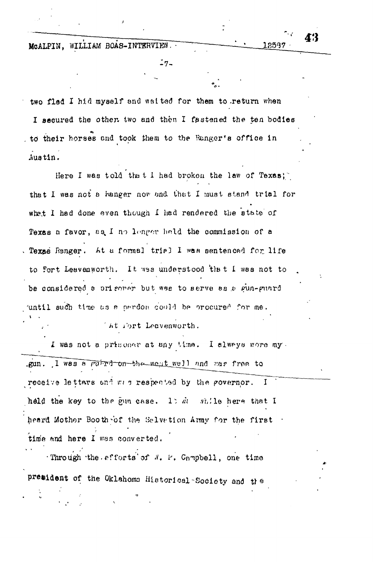MCALPIN, WILLIAM BOAS-INTERVIEW.

12537

Æ'}

 $-7-$ 

two fled I hid myself and waited for them to return when I secured the other two and then I fastened the ten bodies to their horses and took them to the Eunger's office in Austin.

Here I was told that I had broken the law of Texas; that I was not a hanger now and that I must stand trial for what I had done even though I had rendered the state of Texas a favor, as I no longer held the commission of a Texas Ranger. At a formal trial I was sentenced for life to fort Leavenworth. It was understood that I was not to be considered a origonar but was to serve as a gun-guard until such time as a pardon could be procured for me.

At fort Leavenworth.

I was not a prisoner at any time. I always wore my. gun. I was a purpl on the west well and was free to receive lettars and was respected by the governor. I held the key to the gun case. It dis while here that I heard Mother Booth of the Salvetion Army for the first time and here I was converted.

Through the efforts of N. P. Campbell, one time president of the Oklahoms Historical Society and the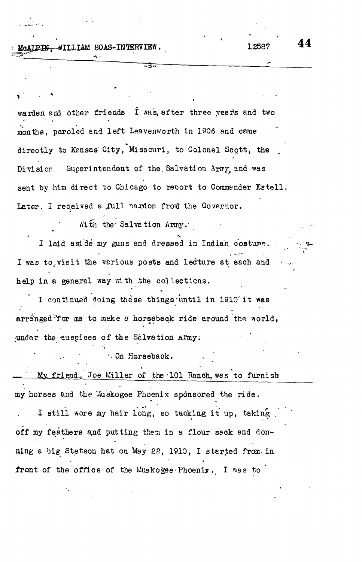PIN. WILLIAM BOAS-INTERVIEW

warden and other friends I was, after three years and two months, paroled and left Leavenworth in 1906 and came directly to Kansas City, Missouri, to Colonel Scott, the Superintendent of the Salvation Army and was  $\mathop{\mathtt{Div}}\nolimits$  si on sent by him direct to Chicago to revort to Commander Estell. Later. I received a full pardon from the Governor.

With the Salvation Army.

I laid aside my guns and dressed in Indian costume. I was to visit the various posts and lecture at each and help in a general way with the collections.

I continued doing these things until in 1910 it was arranged 'Yor me to make a horseback ride around the world, under the auspices of the Salvation Army.

On Horseback.

My friend, Joe Miller of the 101 Ranch, was to furnish my horses and the Muskogee Phoenix sponsored the ride.

I still wore my hair long, so tucking it up, taking off my feathers and putting them in a flour seck and donning a big Stetson hat on May 22, 1910, I started from in front of the office of the Muskogee Phoenix. I was to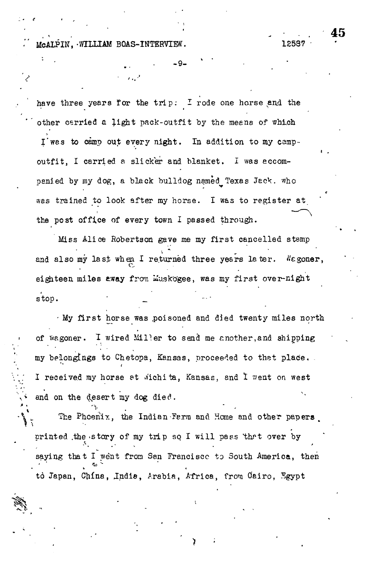McALPIN, WILLIAM BOAS-INTERVIEW. 12537

have three years for the trip: I rode one horse and the other carried a light pack-outfit by the means of which

-9-

I'was to camp out every night. In addition to my campoutfit, I carried a slicker and blanket. I was accompanied by my dog, a black bulldog named Texas Jack. who was trained to look after my horse. I was to register at the pest office of every town I passed through.

Miss Alice Robertson gave me my first cancelled stamp and also my last when I returned three years later. Negoner, eighteen miles away from Muskogee, was my first over-night stop.

- My first horse was poisoned and died twenty miles north of Wagoner. I wired Miller to send me another, and shipping my belongings to Chetopa, Kansas, proceeded to thet place. I received my horse at wichita, Kansas, and I went on west and on the desert my dog died.

The Phoenix, the Indian Ferm and Home and other papers,  $\bullet$  . For a set of the set of the set of the set of the set of the set of the set of the set of the set of the set of the set of the set of the set of the set of the set of the set of the set of the set of the set of the printed the story of my trip so I will pass that over by saying that I went from San Francisco to South America, then tò Japan, China, India, Arabia, Africa, from Cairo, Egypt

. . . • ' .. . 4 5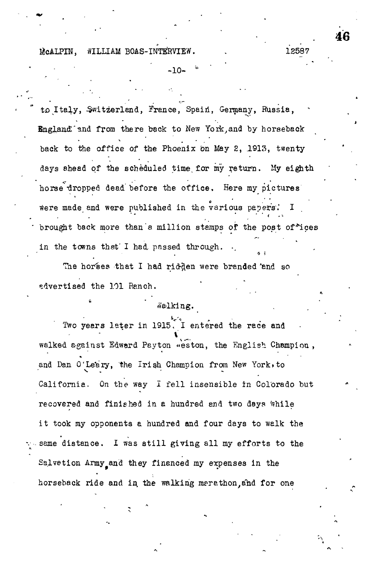## McALPIN, WILLIAM BOAS-INTERVIEW. 12587

-10- *'\**

to Italy, Switzerland, France, Spain, Germany, Russia, England and from there back to New York, and by horseback back to the office of the Phoenix on May 2, 1913, twenty days ahead of the scheduled time, for my return. My eighth horse dropped dead before the office. Here my pictures were made and were published in the various papers.' I brought back more than a million stamps of the post of\*ices in the towns that I had passed through.

The horses that I had ridden were branded 'and so advertised the 101 Ranch.

### talking.

Two years later in 1915. I entered the race and walked against Edward Peyton «eston, the English Champion , and Dan O'Leary, the Irish Champion from New York, to California. On the way *I* fell insensible in Colorado but recovered and finished in a hundred and two days while it took my opponents a hundred and four days to walk the same distance. I was still giving all my efforts to the Salvation Army and they financed my expenses in the horseback ride and in the walking merathon, and for one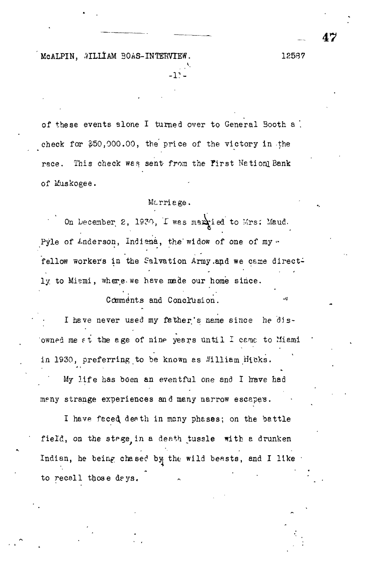MCALPIN, AILLIAM BOAS-INTERVIEW. 12537

of these events alone I turned over to General Booth a '. check for \$50,000.00, the' price of the victory in the race. This check was sent from the First Nation! Bank of Muskogee.

*-V-*

#### Mcrriege.

On December 2, 1930, I wes max ied to Mrs: Maud. Pyle of *Lnderson*, Indiana, the widow of one of my -Pyle of Anderson, Indiana, the" widow of one of my <• fellow workers in the Salvation Army.and we came directfellow worker's in the Salvation Army. And we can also and we can also and we can also and we can also and we ly to Mismi, where we have made our home since. ly to Miami, where, we have made our home since.

Coinme'nts and Conclusion. -"- I have never used my father's name since he dis-In the new father is name since  $\mathbf{r}_i$  , and the distribution of disowned me at the age of nine years until I came to Miami owned me fit the age of nine  $\mathcal{L}_\mathbf{z}$  the age of nine years United metrics  $\mathcal{L}_\mathbf{z}$ in 1930, preferring to be known as  $\alpha$  -Vi  $\alpha$  is the known as  $V$  is the known as  $V$  is the known as  $V$ 

Comments and Conclusion.

My life has been an eventful one and I have had  $M_{\rm eff}$  is eventful one and I travel one and I travel one and I travel one and I travel one and I travel one and meny strange experiences and many narrow escapes. meny strange experiences and many narrow escapes.

I have faced death in many phases; on the battle In the face of the face depth in many phases; on the bettle better  $\mathcal{E}^{\mathcal{E}}$ field, on the stpge in a death tussle with a drunken Indian, he being chased by the wild beasts, and I like to recall those days.

to recall those deys.